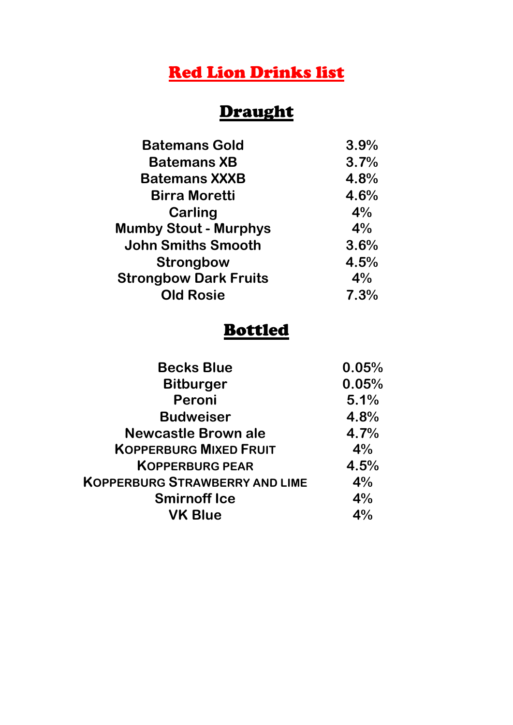## Red Lion Drinks list

# Draught

| <b>Batemans Gold</b>         | 3.9% |
|------------------------------|------|
| <b>Batemans XB</b>           | 3.7% |
| <b>Batemans XXXB</b>         | 4.8% |
| <b>Birra Moretti</b>         | 4.6% |
| Carling                      | 4%   |
| <b>Mumby Stout - Murphys</b> | 4%   |
| <b>John Smiths Smooth</b>    | 3.6% |
| <b>Strongbow</b>             | 4.5% |
| <b>Strongbow Dark Fruits</b> | 4%   |
| <b>Old Rosie</b>             | 7.3% |
|                              |      |

#### Bottled

| <b>Becks Blue</b>                     | 0.05% |
|---------------------------------------|-------|
| <b>Bitburger</b>                      | 0.05% |
| Peroni                                | 5.1%  |
| <b>Budweiser</b>                      | 4.8%  |
| <b>Newcastle Brown ale</b>            | 4.7%  |
| <b>KOPPERBURG MIXED FRUIT</b>         | 4%    |
| <b>KOPPERBURG PEAR</b>                | 4.5%  |
| <b>KOPPERBURG STRAWBERRY AND LIME</b> | 4%    |
| <b>Smirnoff Ice</b>                   | 4%    |
| <b>VK Blue</b>                        | 4%    |
|                                       |       |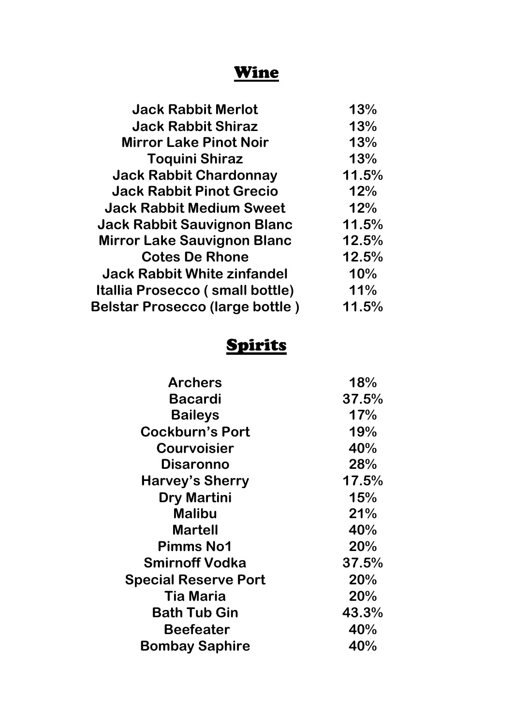### Wine

| <b>Jack Rabbit Merlot</b>              | 13%   |
|----------------------------------------|-------|
| <b>Jack Rabbit Shiraz</b>              | 13%   |
| <b>Mirror Lake Pinot Noir</b>          | 13%   |
| <b>Toquini Shiraz</b>                  | 13%   |
| <b>Jack Rabbit Chardonnay</b>          | 11.5% |
| <b>Jack Rabbit Pinot Grecio</b>        | 12%   |
| <b>Jack Rabbit Medium Sweet</b>        | 12%   |
| <b>Jack Rabbit Sauvignon Blanc</b>     | 11.5% |
| <b>Mirror Lake Sauvignon Blanc</b>     | 12.5% |
| <b>Cotes De Rhone</b>                  | 12.5% |
| <b>Jack Rabbit White zinfandel</b>     | 10%   |
| Itallia Prosecco (small bottle)        | 11%   |
| <b>Belstar Prosecco (large bottle)</b> | 11.5% |
|                                        |       |

### Spirits

| <b>Archers</b>              | 18%   |
|-----------------------------|-------|
| Bacardi                     | 37.5% |
| <b>Baileys</b>              | 17%   |
| <b>Cockburn's Port</b>      | 19%   |
| <b>Courvoisier</b>          | 40%   |
| Disaronno                   | 28%   |
| <b>Harvey's Sherry</b>      | 17.5% |
| <b>Dry Martini</b>          | 15%   |
| <b>Malibu</b>               | 21%   |
| <b>Martell</b>              | 40%   |
| <b>Pimms No1</b>            | 20%   |
| <b>Smirnoff Vodka</b>       | 37.5% |
| <b>Special Reserve Port</b> | 20%   |
| Tia Maria                   | 20%   |
| <b>Bath Tub Gin</b>         | 43.3% |
| Beefeater                   | 40%   |
| <b>Bombay Saphire</b>       | 40%   |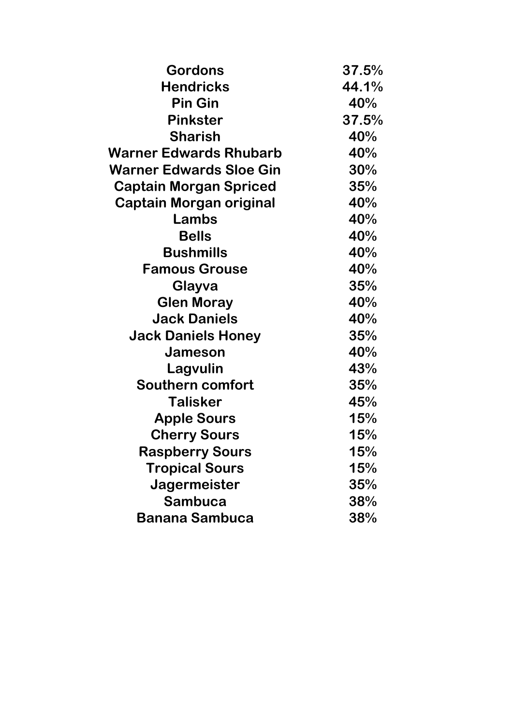| <b>Gordons</b>                 | 37.5% |
|--------------------------------|-------|
| <b>Hendricks</b>               | 44.1% |
| <b>Pin Gin</b>                 | 40%   |
| <b>Pinkster</b>                | 37.5% |
| <b>Sharish</b>                 | 40%   |
| Warner Edwards Rhubarb         | 40%   |
| <b>Warner Edwards Sloe Gin</b> | 30%   |
| <b>Captain Morgan Spriced</b>  | 35%   |
| <b>Captain Morgan original</b> | 40%   |
| Lambs                          | 40%   |
| <b>Bells</b>                   | 40%   |
| <b>Bushmills</b>               | 40%   |
| <b>Famous Grouse</b>           | 40%   |
| Glayva                         | 35%   |
| <b>Glen Moray</b>              | 40%   |
| <b>Jack Daniels</b>            | 40%   |
| <b>Jack Daniels Honey</b>      | 35%   |
| Jameson                        | 40%   |
| Lagvulin                       | 43%   |
| <b>Southern comfort</b>        | 35%   |
| <b>Talisker</b>                | 45%   |
| <b>Apple Sours</b>             | 15%   |
| <b>Cherry Sours</b>            | 15%   |
| <b>Raspberry Sours</b>         | 15%   |
| <b>Tropical Sours</b>          | 15%   |
| Jagermeister                   | 35%   |
| Sambuca                        | 38%   |
| <b>Banana Sambuca</b>          | 38%   |